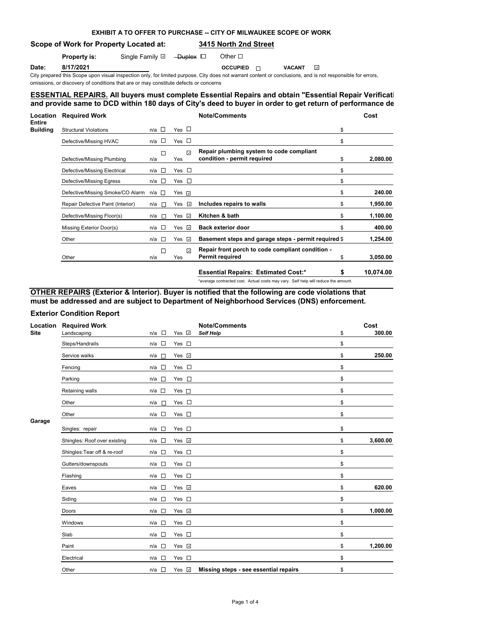# **EXHIBIT A TO OFFER TO PURCHASE -- CITY OF MILWAUKEE SCOPE OF WORK**

**Scope of Work for Property Located at: 3415 North 2nd Street**

### **Property is:** Single Family Duplex Duplex Other Duplex Duplex Duplex Duplex Duplex Duplex Duplex Duplex Duplex Duplex Duplex Duplex Duplex Duplex Duplex Duplex Duplex Duplex Duplex Duplex Duplex Duplex Duplex Duplex Duple

**Date:** 8/17/2021 **OCCUPIED ⊙** VACANT

City prepared this Scope upon visual inspection only, for limited purpose. City does not warrant content or conclusions, and is not responsible for errors,

omissions, or discovery of conditions that are or may constitute defects or concerns

# **ESSENTIAL REPAIRS. All buyers must complete Essential Repairs and obtain "Essential Repair Verification Form"** and provide same to DCD within 180 days of City's deed to buyer in order to get return of performance de

| Location<br>Entire | <b>Required Work</b>              |                 |                     | <b>Note/Comments</b>                                                               | Cost      |  |
|--------------------|-----------------------------------|-----------------|---------------------|------------------------------------------------------------------------------------|-----------|--|
| Building           | <b>Structural Violations</b>      | $n/a$ $\square$ | Yes $\Box$          | \$                                                                                 |           |  |
|                    | Defective/Missing HVAC            | $\Box$<br>n/a   | Yes $\Box$          | \$                                                                                 |           |  |
|                    | Defective/Missing Plumbing        | □<br>n/a        | $\mathcal J$<br>Yes | Repair plumbing system to code compliant<br>condition - permit required<br>\$      | 2,080.00  |  |
|                    | Defective/Missing Electrical      | $n/a$ $\square$ | Yes □               | \$                                                                                 |           |  |
|                    | Defective/Missing Egress          | $n/a$ $\square$ | Yes $\square$       | \$                                                                                 |           |  |
|                    | Defective/Missing Smoke/CO Alarm  | n/a □           | Yes <b></b>         | \$                                                                                 | 240.00    |  |
|                    | Repair Defective Paint (Interior) | n/a<br>$\sim$   | $\omega$<br>Yes     | Includes repairs to walls<br>\$                                                    | 1,950.00  |  |
|                    | Defective/Missing Floor(s)        | n/a<br>$\sim$   | Yes ⊡               | Kitchen & bath<br>\$                                                               | 1,100.00  |  |
|                    | Missing Exterior Door(s)          | $n/a$ $\square$ | $\omega$<br>Yes     | <b>Back exterior door</b><br>\$                                                    | 400.00    |  |
|                    | Other                             | $n/a$ $\Box$    | Yes<br>$\omega$     | Basement steps and garage steps - permit required \$                               | 1,254.00  |  |
|                    | Other                             | П<br>n/a        | $\omega$<br>Yes     | Repair front porch to code compliant condition -<br><b>Permit required</b><br>\$   | 3,050.00  |  |
|                    |                                   |                 |                     | <b>Essential Repairs: Estimated Cost:*</b><br>\$                                   | 10,074.00 |  |
|                    |                                   |                 |                     | *average contracted cost. Actual costs may vary. Self help will reduce the amount. |           |  |

**OTHER REPAIRS (Exterior & Interior). Buyer is notified that the following are code violations that must be addressed and are subject to Department of Neighborhood Services (DNS) enforcement.**

## **Exterior Condition Report**

| Location<br><b>Site</b> | <b>Required Work</b>         |                                    |               | <b>Note/Comments</b>                  | Cost           |
|-------------------------|------------------------------|------------------------------------|---------------|---------------------------------------|----------------|
|                         | Landscaping                  | $\Box$<br>n/a                      | Yes Z         | Self Help                             | \$<br>300.00   |
|                         | Steps/Handrails              | $\mathcal{L}_{\mathcal{A}}$<br>n/a | Yes $\square$ |                                       | \$             |
|                         | Service walks                | n/a<br>$\sim$                      | Yes v         |                                       | \$<br>250.00   |
|                         | Fencing                      | n/a<br>$\Box$                      | Yes $\square$ |                                       | \$             |
|                         | Parking                      | $\Box$<br>n/a                      | Yes $\square$ |                                       | \$             |
|                         | Retaining walls              | n/a<br>$\sim$                      | Yes $\Box$    |                                       | \$             |
|                         | Other                        | n/a<br>$\Box$                      | Yes $\square$ |                                       | \$             |
|                         | Other                        | $n/a$ $\square$                    | Yes $\square$ |                                       | \$             |
| Garage                  | Singles: repair              | $\overline{\phantom{a}}$<br>n/a    | Yes $\square$ |                                       | \$             |
|                         | Shingles: Roof over existing | $\overline{\phantom{a}}$<br>n/a    | Yes V         |                                       | \$<br>3,600.00 |
|                         | Shingles: Tear off & re-roof | $\overline{\phantom{a}}$<br>n/a    | Yes $\square$ |                                       | \$             |
|                         | Gutters/downspouts           | $\overline{\phantom{a}}$<br>n/a    | Yes $\square$ |                                       | \$             |
|                         | Flashing                     | $\overline{\phantom{a}}$<br>n/a    | Yes $\square$ |                                       | \$             |
|                         | Eaves                        | $\overline{\phantom{a}}$<br>n/a    | Yes v         |                                       | \$<br>620.00   |
|                         | Siding                       | $\Box$<br>n/a                      | Yes $\square$ |                                       | \$             |
|                         | Doors                        | $\Box$<br>n/a                      | Yes v         |                                       | \$<br>1,000.00 |
|                         | Windows                      | $\Box$<br>n/a                      | Yes $\square$ |                                       | \$             |
|                         | Slab                         | $\overline{\phantom{a}}$<br>n/a    | Yes $\square$ |                                       | \$             |
|                         | Paint                        | $\sim$<br>n/a                      | Yes 7         |                                       | \$<br>1,200.00 |
|                         | Electrical                   | $\Box$<br>n/a                      | Yes $\square$ |                                       | \$             |
|                         | Other                        | n/a<br>$\overline{\phantom{a}}$    | Yes v         | Missing steps - see essential repairs | \$             |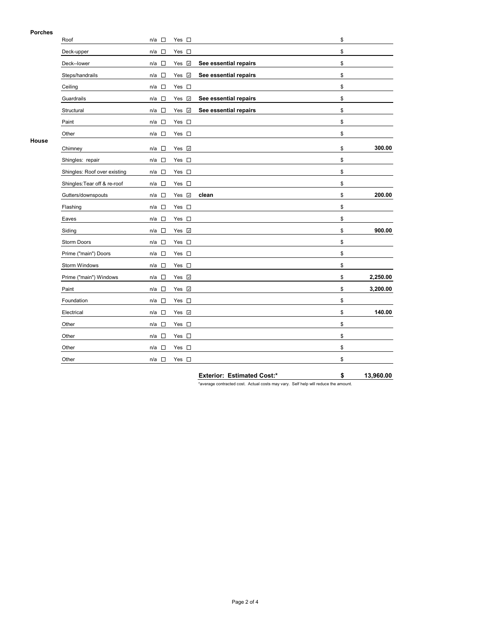### **Porches**

| ניטוש ו | Roof                         | $\overline{\phantom{a}}$<br>n/a    | Yes $\square$ |                       | \$             |
|---------|------------------------------|------------------------------------|---------------|-----------------------|----------------|
|         | Deck-upper                   | n/a<br>$\sim$                      | Yes $\square$ |                       | \$             |
|         | Deck--lower                  | $\Box$<br>n/a                      | Yes √         | See essential repairs | \$             |
|         | Steps/handrails              | $\Box$<br>n/a                      | Yes v         | See essential repairs | \$             |
|         | Ceiling                      | $\overline{\phantom{a}}$<br>n/a    | Yes $\square$ |                       | \$             |
|         | Guardrails                   | $\Box$<br>n/a                      | Yes v         | See essential repairs | \$             |
|         | Structural                   | $\Box$<br>n/a                      | Yes v         | See essential repairs | \$             |
|         | Paint                        | $\overline{\phantom{a}}$<br>n/a    | Yes $\square$ |                       | \$             |
|         | Other                        | $\mathcal{L}_{\mathcal{A}}$<br>n/a | Yes $\square$ |                       | \$             |
| House   | Chimney                      | $\overline{\phantom{a}}$<br>n/a    | Yes V         |                       | \$<br>300.00   |
|         | Shingles: repair             | $\overline{\phantom{a}}$<br>n/a    | Yes $\square$ |                       | \$             |
|         | Shingles: Roof over existing | $\mathcal{L}_{\mathcal{A}}$<br>n/a | Yes $\square$ |                       | \$             |
|         | Shingles: Tear off & re-roof | $\overline{\phantom{a}}$<br>n/a    | Yes $\square$ |                       | \$             |
|         | Gutters/downspouts           | $\overline{\phantom{a}}$<br>n/a    | Yes <b>⊽</b>  | clean                 | \$<br>200.00   |
|         | Flashing                     | $\overline{\phantom{a}}$<br>n/a    | Yes $\square$ |                       | \$             |
|         | Eaves                        | $\overline{\phantom{a}}$<br>n/a    | Yes $\square$ |                       | \$             |
|         | Siding                       | n/a<br>$\overline{\phantom{a}}$    | Yes 7         |                       | \$<br>900.00   |
|         | Storm Doors                  | $\overline{\phantom{a}}$<br>n/a    | Yes $\square$ |                       | \$             |
|         | Prime ("main") Doors         | $\overline{\phantom{a}}$<br>n/a    | Yes $\square$ |                       | \$             |
|         | Storm Windows                | n/a<br>$\overline{\phantom{a}}$    | Yes $\square$ |                       | \$             |
|         | Prime ("main") Windows       | $\overline{\phantom{a}}$<br>n/a    | Yes V         |                       | \$<br>2,250.00 |
|         | Paint                        | $\mathcal{L}_{\mathcal{A}}$<br>n/a | Yes <b>☑</b>  |                       | \$<br>3,200.00 |
|         | Foundation                   | $\overline{\phantom{a}}$<br>n/a    | Yes $\square$ |                       | \$             |
|         | Electrical                   | $\overline{\phantom{a}}$<br>n/a    | Yes <b>☑</b>  |                       | \$<br>140.00   |
|         | Other                        | $\mathcal{C}$<br>n/a               | Yes $\square$ |                       | \$             |
|         | Other                        | $\overline{\phantom{a}}$<br>n/a    | Yes $\square$ |                       | \$             |
|         | Other                        | $\overline{\phantom{a}}$<br>n/a    | Yes $\square$ |                       | \$             |
|         | Other                        | $\overline{\phantom{a}}$<br>n/a    | Yes $\square$ |                       | \$             |

**Exterior: Estimated Cost:\* \$ 13,960.00**

\*average contracted cost. Actual costs may vary. Self help will reduce the amount.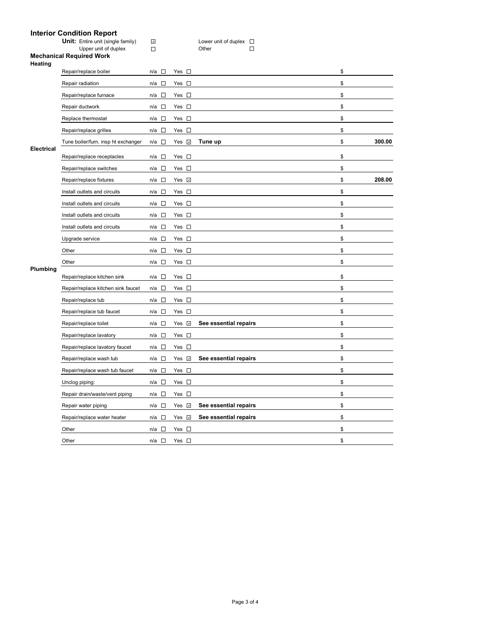|                   | <b>Interior Condition Report</b>                                 |                                 |                    |                                                   |              |
|-------------------|------------------------------------------------------------------|---------------------------------|--------------------|---------------------------------------------------|--------------|
|                   | <b>Unit:</b> Entire unit (single family)<br>Upper unit of duplex | $\omega$<br>$\Box$              |                    | Lower unit of duplex $\square$<br>$\Box$<br>Other |              |
|                   | <b>Mechanical Required Work</b>                                  |                                 |                    |                                                   |              |
| Heating           | Repair/replace boiler                                            | n/a □                           | Yes $\square$      |                                                   | \$           |
|                   | Repair radiation                                                 | $\overline{\phantom{a}}$<br>n/a | Yes $\square$      |                                                   | \$           |
|                   | Repair/replace furnace                                           | $n/a$ $\square$                 | Yes $\square$      |                                                   | \$           |
|                   | Repair ductwork                                                  | $\overline{\phantom{a}}$<br>n/a | Yes $\square$      |                                                   | \$           |
|                   |                                                                  |                                 |                    |                                                   |              |
|                   | Replace thermostat                                               | $n/a$ $\square$                 | Yes $\square$      |                                                   | \$           |
|                   | Repair/replace grilles                                           | $\sim$<br>n/a                   | Yes $\square$      |                                                   | \$           |
| <b>Electrical</b> | Tune boiler/furn. insp ht exchanger                              | $n/a$ $\square$                 | Yes $\overline{v}$ | Tune up                                           | \$<br>300.00 |
|                   | Repair/replace receptacles                                       | $\sim$<br>n/a                   | Yes $\square$      |                                                   | \$           |
|                   | Repair/replace switches                                          | $n/a$ $\square$                 | Yes $\square$      |                                                   | \$           |
|                   | Repair/replace fixtures                                          | $\sim$<br>n/a                   | Yes $\sqrt{ }$     |                                                   | \$<br>208.00 |
|                   | Install outlets and circuits                                     | $n/a$ $\square$                 | Yes $\square$      |                                                   | \$           |
|                   | Install outlets and circuits                                     | n/a □                           | Yes $\square$      |                                                   | \$           |
|                   | Install outlets and circuits                                     | $n/a$ $\square$                 | Yes $\square$      |                                                   | \$           |
|                   | Install outlets and circuits                                     | $\sim$<br>n/a                   | Yes $\square$      |                                                   | \$           |
|                   | Upgrade service                                                  | n/a<br>$\sim$                   | Yes $\square$      |                                                   | \$           |
|                   | Other                                                            | $\Box$<br>n/a                   | Yes $\square$      |                                                   | \$           |
|                   | Other                                                            | n/a<br>$\sim$                   | Yes $\square$      |                                                   | \$           |
| Plumbing          | Repair/replace kitchen sink                                      | $\sim$<br>n/a                   | Yes $\square$      |                                                   | \$           |
|                   |                                                                  |                                 | Yes $\square$      |                                                   | \$           |
|                   | Repair/replace kitchen sink faucet                               | $n/a$ $\square$                 |                    |                                                   |              |
|                   | Repair/replace tub                                               | $n/a$ $\square$                 | Yes $\square$      |                                                   | \$           |
|                   | Repair/replace tub faucet                                        | $n/a$ $\square$                 | Yes $\square$      |                                                   | \$           |
|                   | Repair/replace toilet                                            | $n/a$ $\square$                 | Yes <b>⊽</b>       | See essential repairs                             | \$           |
|                   | Repair/replace lavatory                                          | $n/a$ $\square$                 | Yes $\square$      |                                                   | \$           |
|                   | Repair/replace lavatory faucet                                   | $n/a$ $\square$                 | Yes $\square$      |                                                   | \$           |
|                   | Repair/replace wash tub                                          | $n/a$ $\square$                 | Yes <b>v</b>       | See essential repairs                             | \$           |
|                   | Repair/replace wash tub faucet                                   | n/a<br>$\Box$                   | Yes $\square$      |                                                   | \$           |
|                   | Unclog piping:                                                   | n/a                             | Yes $\square$      |                                                   | \$           |
|                   | Repair drain/waste/vent piping                                   | n/a<br>$\Box$                   | Yes $\square$      |                                                   | \$           |
|                   | Repair water piping                                              | $n/a$ $\square$                 | Yes <b>☑</b>       | See essential repairs                             | \$           |
|                   | Repair/replace water heater                                      | n/a □                           | Yes V              | See essential repairs                             | \$           |
|                   | Other                                                            | $n/a$ $\square$                 | Yes $\square$      |                                                   | \$           |
|                   | Other                                                            | $\overline{\phantom{a}}$<br>n/a | Yes $\square$      |                                                   | \$           |

## **Interior Condition Report**